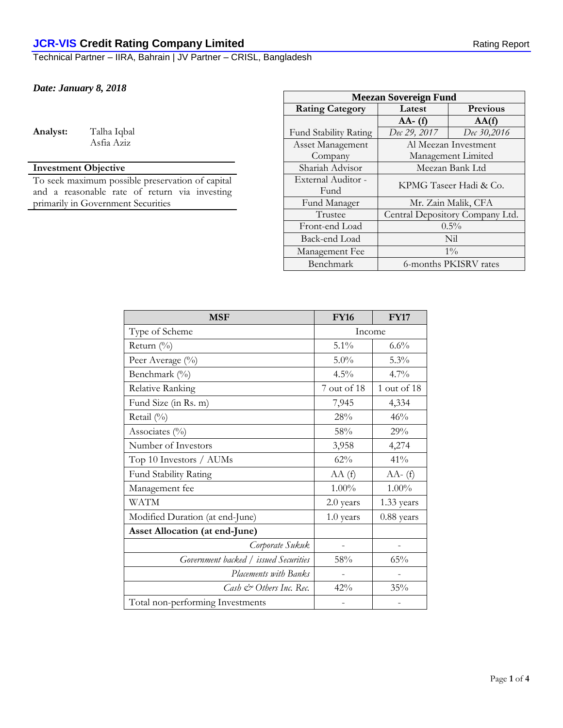Technical Partner – IIRA, Bahrain | JV Partner – CRISL, Bangladesh

### *Date: January 8, 2018*

**Analyst:** Talha Iqbal

Asfia Aziz

## **Investment Objective**

To seek maximum possible preservation of capital and a reasonable rate of return via investing primarily in Government Securities

| <b>Meezan Sovereign Fund</b> |                                 |                      |  |
|------------------------------|---------------------------------|----------------------|--|
| <b>Rating Category</b>       | Latest                          | <b>Previous</b>      |  |
|                              | $AA - (f)$                      | AA(f)                |  |
| <b>Fund Stability Rating</b> | Dec 29, 2017                    | Dec 30,2016          |  |
| Asset Management             |                                 | Al Meezan Investment |  |
| Company                      | Management Limited              |                      |  |
| Shariah Advisor              | Meezan Bank Ltd                 |                      |  |
| External Auditor -           | KPMG Taseer Hadi & Co.          |                      |  |
| Fund                         |                                 |                      |  |
| Fund Manager                 | Mr. Zain Malik, CFA             |                      |  |
| Trustee                      | Central Depository Company Ltd. |                      |  |
| Front-end Load               | $0.5\%$                         |                      |  |
| Back-end Load                | Nil                             |                      |  |
| Management Fee               | $1\%$                           |                      |  |
| Benchmark                    | 6-months PKISRV rates           |                      |  |

| <b>MSF</b>                            | <b>FY16</b> | <b>FY17</b> |
|---------------------------------------|-------------|-------------|
| Type of Scheme                        | Income      |             |
| Return (%)                            | 5.1%        | $6.6\%$     |
| Peer Average (%)                      | 5.0%        | 5.3%        |
| Benchmark (%)                         | 4.5%        | $4.7\%$     |
| Relative Ranking                      | 7 out of 18 | 1 out of 18 |
| Fund Size (in Rs. m)                  | 7,945       | 4,334       |
| Retail (%)                            | $28\%$      | 46%         |
| Associates $(\%)$                     | 58%         | 29%         |
| Number of Investors                   | 3,958       | 4,274       |
| Top 10 Investors / AUMs               | 62%         | 41%         |
| Fund Stability Rating                 | AA(f)       | $AA- (f)$   |
| Management fee                        | $1.00\%$    | $1.00\%$    |
| <b>WATM</b>                           | 2.0 years   | 1.33 years  |
| Modified Duration (at end-June)       | 1.0 years   | 0.88 years  |
| <b>Asset Allocation (at end-June)</b> |             |             |
| Corporate Sukuk                       |             |             |
| Government backed / issued Securities | 58%         | 65%         |
| Placements with Banks                 |             |             |
| Cash & Others Inc. Rec.               | 42%         | 35%         |
| Total non-performing Investments      |             |             |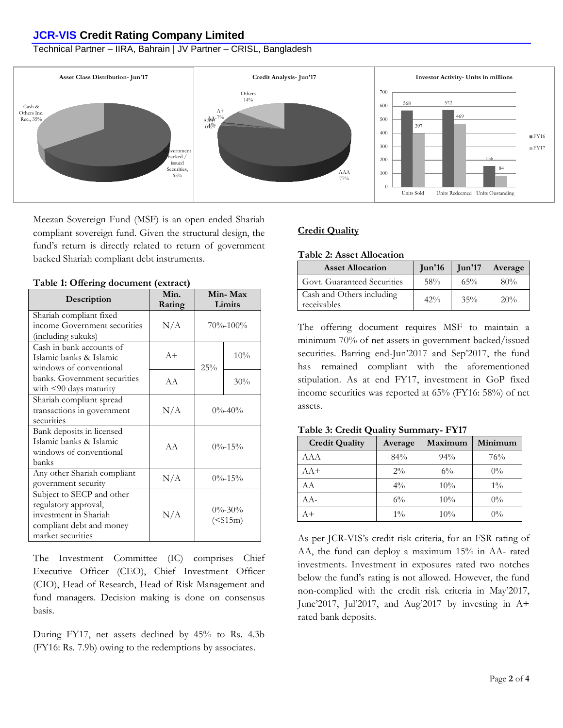### **JCR-VIS Credit Rating Company Limited**

### Technical Partner – IIRA, Bahrain | JV Partner – CRISL, Bangladesh



Meezan Sovereign Fund (MSF) is an open ended Shariah compliant sovereign fund. Given the structural design, the fund's return is directly related to return of government backed Shariah compliant debt instruments.

| Description                                                                                                                 | Min.<br>Rating | Min-Max<br>Limits |                          |
|-----------------------------------------------------------------------------------------------------------------------------|----------------|-------------------|--------------------------|
| Shariah compliant fixed<br>income Government securities<br>(including sukuks)                                               | N/A            |                   | $70\% - 100\%$           |
| Cash in bank accounts of<br>Islamic banks & Islamic<br>windows of conventional                                              | $A+$           | 25%               | 10%                      |
| banks. Government securities<br>with $\leq 90$ days maturity                                                                | A A            |                   | 30%                      |
| Shariah compliant spread<br>transactions in government<br>securities                                                        | N/A            |                   | $0\% - 40\%$             |
| Bank deposits in licensed<br>Islamic banks & Islamic<br>windows of conventional<br>banks                                    | A A            |                   | $0\% - 15\%$             |
| Any other Shariah compliant<br>government security                                                                          | N/A            |                   | $0\% - 15\%$             |
| Subject to SECP and other<br>regulatory approval,<br>investment in Shariah<br>compliant debt and money<br>market securities | N/A            |                   | $0\% - 30\%$<br>$($15m)$ |

**Table 1: Offering document (extract)**

The Investment Committee (IC) comprises Chief Executive Officer (CEO), Chief Investment Officer (CIO), Head of Research, Head of Risk Management and fund managers. Decision making is done on consensus basis.

During FY17, net assets declined by 45% to Rs. 4.3b (FY16: Rs. 7.9b) owing to the redemptions by associates.

### **Credit Quality**

#### **Table 2: Asset Allocation**

| <b>Asset Allocation</b>                  | $\mathrm{Jun'16}$ | $\mathrm{Iun'17}$ | Average |
|------------------------------------------|-------------------|-------------------|---------|
| Govt. Guaranteed Securities              | 58%               | 65%               | 80%     |
| Cash and Others including<br>receivables | $42\%$            | 35%               | 20%     |

The offering document requires MSF to maintain a minimum 70% of net assets in government backed/issued securities. Barring end-Jun'2017 and Sep'2017, the fund has remained compliant with the aforementioned stipulation. As at end FY17, investment in GoP fixed income securities was reported at 65% (FY16: 58%) of net assets.

**Table 3: Credit Quality Summary- FY17**

| <b>Credit Quality</b> | Average | Maximum | Minimum |
|-----------------------|---------|---------|---------|
| AAA                   | 84%     | 94%     | 76%     |
| $AA+$                 | $2\%$   | $6\%$   | $0\%$   |
| AA                    | $4\%$   | 10%     | $1\%$   |
| $AA-$                 | $6\%$   | 10%     | $0\%$   |
| A+                    | $1\%$   | 10%     | $0\%$   |

As per JCR-VIS's credit risk criteria, for an FSR rating of AA, the fund can deploy a maximum 15% in AA- rated investments. Investment in exposures rated two notches below the fund's rating is not allowed. However, the fund non-complied with the credit risk criteria in May'2017, June'2017, Jul'2017, and Aug'2017 by investing in A+ rated bank deposits.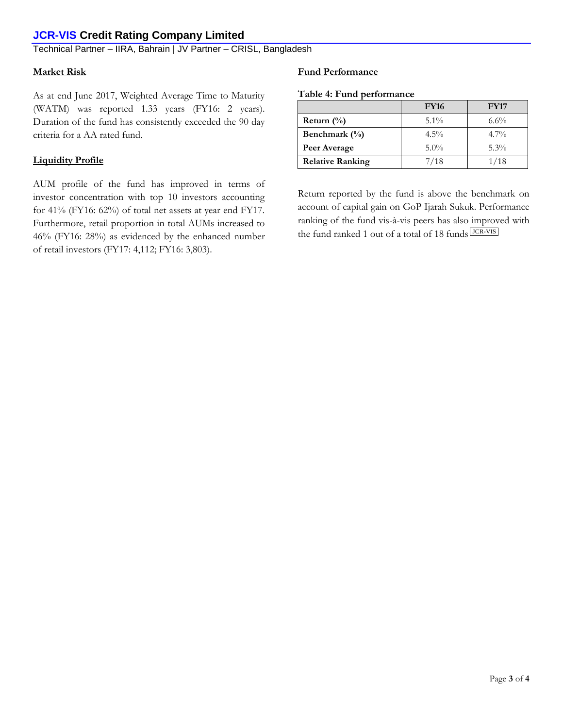## **JCR-VIS Credit Rating Company Limited**

### Technical Partner – IIRA, Bahrain | JV Partner – CRISL, Bangladesh

#### **Market Risk**

As at end June 2017, Weighted Average Time to Maturity (WATM) was reported 1.33 years (FY16: 2 years). Duration of the fund has consistently exceeded the 90 day criteria for a AA rated fund.

#### **Liquidity Profile**

AUM profile of the fund has improved in terms of investor concentration with top 10 investors accounting for 41% (FY16: 62%) of total net assets at year end FY17. Furthermore, retail proportion in total AUMs increased to 46% (FY16: 28%) as evidenced by the enhanced number of retail investors (FY17: 4,112; FY16: 3,803).

### **Fund Performance**

|  |  | Table 4: Fund performance |
|--|--|---------------------------|
|--|--|---------------------------|

|                         | <b>FY16</b> | <b>FY17</b> |
|-------------------------|-------------|-------------|
| Return $(\%)$           | $5.1\%$     | $6.6\%$     |
| Benchmark $(\% )$       | $4.5\%$     | $4.7\%$     |
| Peer Average            | $5.0\%$     | $5.3\%$     |
| <b>Relative Ranking</b> | 7/18        | 1/18        |

Return reported by the fund is above the benchmark on account of capital gain on GoP Ijarah Sukuk. Performance ranking of the fund vis-à-vis peers has also improved with the fund ranked 1 out of a total of 18 funds **JCR-VIS**